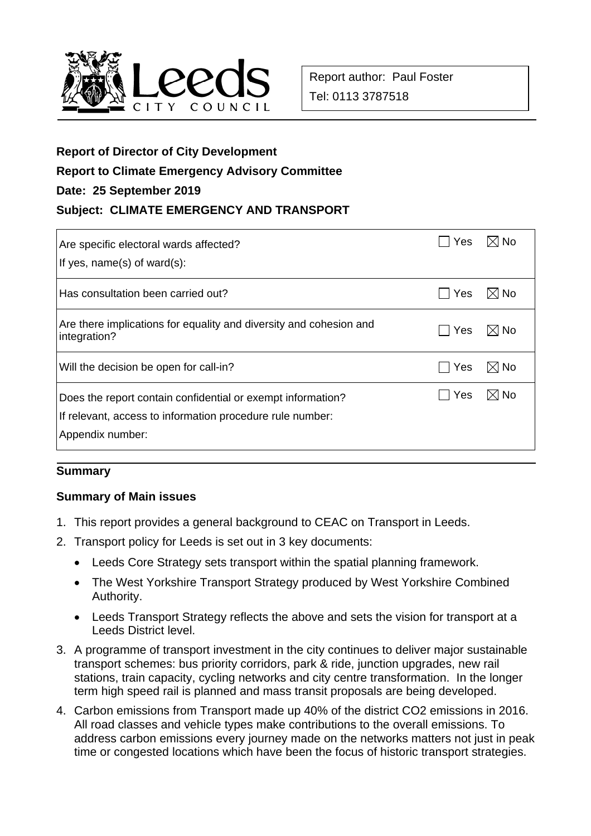

## **Report of Director of City Development**

# **Report to Climate Emergency Advisory Committee**

## **Date: 25 September 2019**

# **Subject: CLIMATE EMERGENCY AND TRANSPORT**

| Are specific electoral wards affected?<br>If yes, $name(s)$ of ward $(s)$ :                                                                  | Yes | ⊠l No          |
|----------------------------------------------------------------------------------------------------------------------------------------------|-----|----------------|
| Has consultation been carried out?                                                                                                           | Yes | $\boxtimes$ No |
| Are there implications for equality and diversity and cohesion and<br>integration?                                                           | Yes | $\boxtimes$ No |
| Will the decision be open for call-in?                                                                                                       | Yes | $\boxtimes$ No |
| Does the report contain confidential or exempt information?<br>If relevant, access to information procedure rule number:<br>Appendix number: | Yes | I⊠ No          |

# **Summary**

# **Summary of Main issues**

- 1. This report provides a general background to CEAC on Transport in Leeds.
- 2. Transport policy for Leeds is set out in 3 key documents:
	- Leeds Core Strategy sets transport within the spatial planning framework.
	- The West Yorkshire Transport Strategy produced by West Yorkshire Combined Authority.
	- Leeds Transport Strategy reflects the above and sets the vision for transport at a Leeds District level.
- 3. A programme of transport investment in the city continues to deliver major sustainable transport schemes: bus priority corridors, park & ride, junction upgrades, new rail stations, train capacity, cycling networks and city centre transformation. In the longer term high speed rail is planned and mass transit proposals are being developed.
- 4. Carbon emissions from Transport made up 40% of the district CO2 emissions in 2016. All road classes and vehicle types make contributions to the overall emissions. To address carbon emissions every journey made on the networks matters not just in peak time or congested locations which have been the focus of historic transport strategies.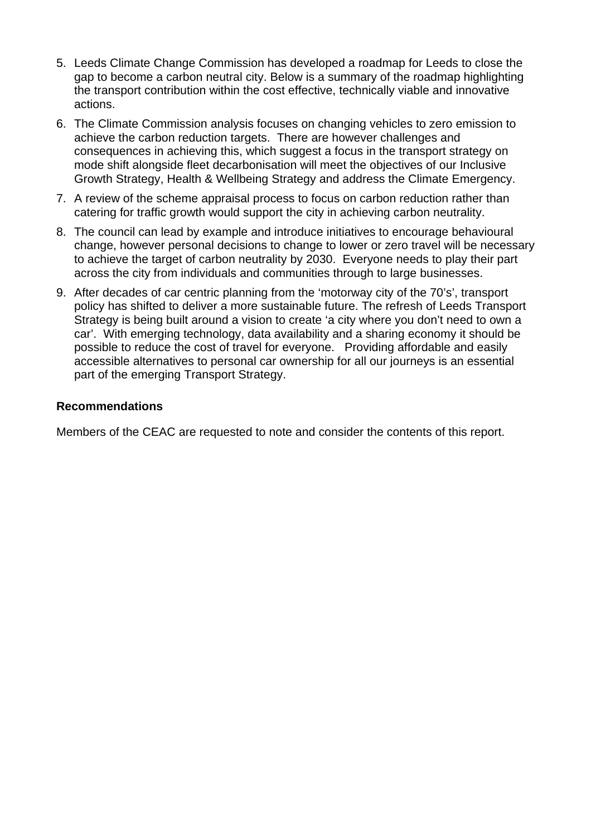- 5. Leeds Climate Change Commission has developed a roadmap for Leeds to close the gap to become a carbon neutral city. Below is a summary of the roadmap highlighting the transport contribution within the cost effective, technically viable and innovative actions.
- 6. The Climate Commission analysis focuses on changing vehicles to zero emission to achieve the carbon reduction targets. There are however challenges and consequences in achieving this, which suggest a focus in the transport strategy on mode shift alongside fleet decarbonisation will meet the objectives of our Inclusive Growth Strategy, Health & Wellbeing Strategy and address the Climate Emergency.
- 7. A review of the scheme appraisal process to focus on carbon reduction rather than catering for traffic growth would support the city in achieving carbon neutrality.
- 8. The council can lead by example and introduce initiatives to encourage behavioural change, however personal decisions to change to lower or zero travel will be necessary to achieve the target of carbon neutrality by 2030. Everyone needs to play their part across the city from individuals and communities through to large businesses.
- 9. After decades of car centric planning from the 'motorway city of the 70's', transport policy has shifted to deliver a more sustainable future. The refresh of Leeds Transport Strategy is being built around a vision to create 'a city where you don't need to own a car'. With emerging technology, data availability and a sharing economy it should be possible to reduce the cost of travel for everyone. Providing affordable and easily accessible alternatives to personal car ownership for all our journeys is an essential part of the emerging Transport Strategy.

#### **Recommendations**

Members of the CEAC are requested to note and consider the contents of this report.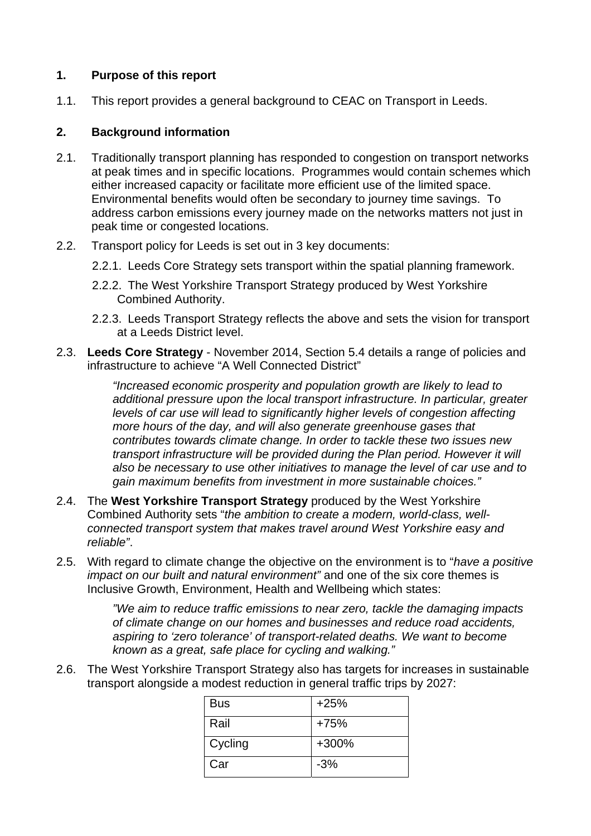#### **1. Purpose of this report**

1.1. This report provides a general background to CEAC on Transport in Leeds.

#### **2. Background information**

- 2.1. Traditionally transport planning has responded to congestion on transport networks at peak times and in specific locations. Programmes would contain schemes which either increased capacity or facilitate more efficient use of the limited space. Environmental benefits would often be secondary to journey time savings. To address carbon emissions every journey made on the networks matters not just in peak time or congested locations.
- 2.2. Transport policy for Leeds is set out in 3 key documents:
	- 2.2.1. Leeds Core Strategy sets transport within the spatial planning framework.
	- 2.2.2. The West Yorkshire Transport Strategy produced by West Yorkshire Combined Authority.
	- 2.2.3. Leeds Transport Strategy reflects the above and sets the vision for transport at a Leeds District level.
- 2.3. **Leeds Core Strategy** November 2014, Section 5.4 details a range of policies and infrastructure to achieve "A Well Connected District"

*"Increased economic prosperity and population growth are likely to lead to additional pressure upon the local transport infrastructure. In particular, greater levels of car use will lead to significantly higher levels of congestion affecting more hours of the day, and will also generate greenhouse gases that contributes towards climate change. In order to tackle these two issues new transport infrastructure will be provided during the Plan period. However it will also be necessary to use other initiatives to manage the level of car use and to gain maximum benefits from investment in more sustainable choices."* 

- 2.4. The **West Yorkshire Transport Strategy** produced by the West Yorkshire Combined Authority sets "*the ambition to create a modern, world-class, wellconnected transport system that makes travel around West Yorkshire easy and reliable"*.
- 2.5. With regard to climate change the objective on the environment is to "*have a positive impact on our built and natural environment"* and one of the six core themes is Inclusive Growth, Environment, Health and Wellbeing which states:

*"We aim to reduce traffic emissions to near zero, tackle the damaging impacts of climate change on our homes and businesses and reduce road accidents, aspiring to 'zero tolerance' of transport-related deaths. We want to become known as a great, safe place for cycling and walking."* 

2.6. The West Yorkshire Transport Strategy also has targets for increases in sustainable transport alongside a modest reduction in general traffic trips by 2027:

| <b>Bus</b> | $+25%$ |
|------------|--------|
| Rail       | +75%   |
| Cycling    | +300%  |
| Car        | $-3%$  |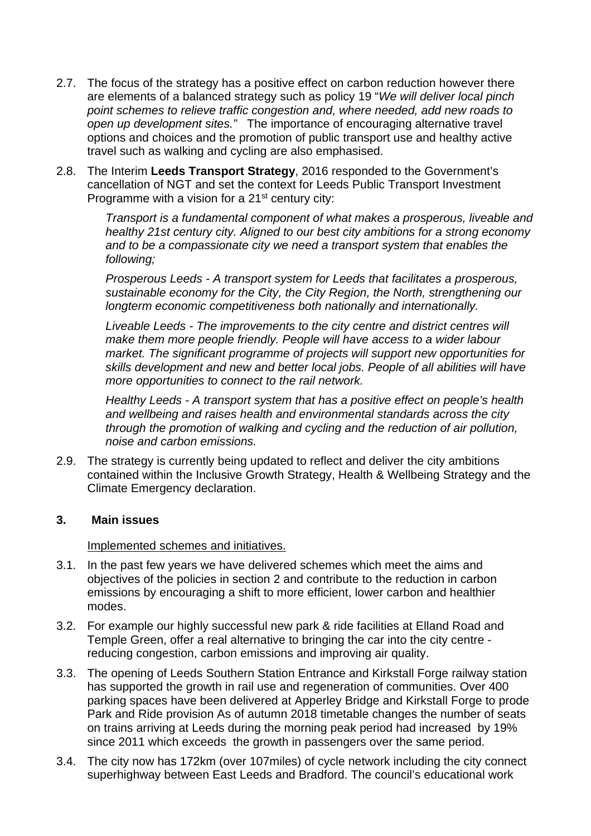- 2.7. The focus of the strategy has a positive effect on carbon reduction however there are elements of a balanced strategy such as policy 19 "*We will deliver local pinch point schemes to relieve traffic congestion and, where needed, add new roads to open up development sites."* The importance of encouraging alternative travel options and choices and the promotion of public transport use and healthy active travel such as walking and cycling are also emphasised.
- 2.8. The Interim **Leeds Transport Strategy**, 2016 responded to the Government's cancellation of NGT and set the context for Leeds Public Transport Investment Programme with a vision for a  $21<sup>st</sup>$  century city:

*Transport is a fundamental component of what makes a prosperous, liveable and healthy 21st century city. Aligned to our best city ambitions for a strong economy and to be a compassionate city we need a transport system that enables the following;* 

*Prosperous Leeds - A transport system for Leeds that facilitates a prosperous, sustainable economy for the City, the City Region, the North, strengthening our longterm economic competitiveness both nationally and internationally.* 

*Liveable Leeds - The improvements to the city centre and district centres will make them more people friendly. People will have access to a wider labour market. The significant programme of projects will support new opportunities for skills development and new and better local jobs. People of all abilities will have more opportunities to connect to the rail network.* 

*Healthy Leeds - A transport system that has a positive effect on people's health and wellbeing and raises health and environmental standards across the city through the promotion of walking and cycling and the reduction of air pollution, noise and carbon emissions.* 

2.9. The strategy is currently being updated to reflect and deliver the city ambitions contained within the Inclusive Growth Strategy, Health & Wellbeing Strategy and the Climate Emergency declaration.

#### **3. Main issues**

Implemented schemes and initiatives.

- 3.1. In the past few years we have delivered schemes which meet the aims and objectives of the policies in section 2 and contribute to the reduction in carbon emissions by encouraging a shift to more efficient, lower carbon and healthier modes.
- 3.2. For example our highly successful new park & ride facilities at Elland Road and Temple Green, offer a real alternative to bringing the car into the city centre reducing congestion, carbon emissions and improving air quality.
- 3.3. The opening of Leeds Southern Station Entrance and Kirkstall Forge railway station has supported the growth in rail use and regeneration of communities. Over 400 parking spaces have been delivered at Apperley Bridge and Kirkstall Forge to prode Park and Ride provision As of autumn 2018 timetable changes the number of seats on trains arriving at Leeds during the morning peak period had increased by 19% since 2011 which exceeds the growth in passengers over the same period.
- 3.4. The city now has 172km (over 107miles) of cycle network including the city connect superhighway between East Leeds and Bradford. The council's educational work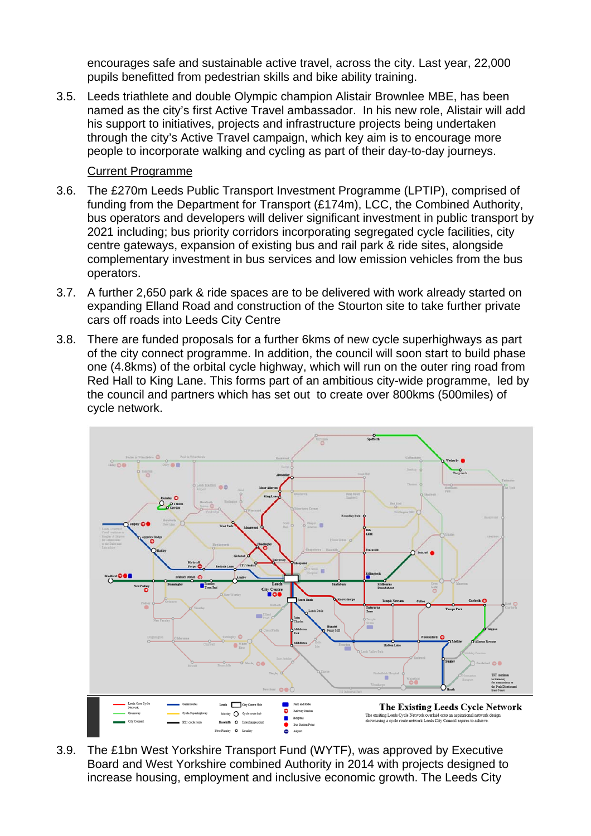encourages safe and sustainable active travel, across the city. Last year, 22,000 pupils benefitted from pedestrian skills and bike ability training.

3.5. Leeds triathlete and double Olympic champion Alistair Brownlee MBE, has been named as the city's first Active Travel ambassador. In his new role, Alistair will add his support to initiatives, projects and infrastructure projects being undertaken through the city's Active Travel campaign, which key aim is to encourage more people to incorporate walking and cycling as part of their day-to-day journeys.

## Current Programme

- 3.6. The £270m Leeds Public Transport Investment Programme (LPTIP), comprised of funding from the Department for Transport (£174m), LCC, the Combined Authority, bus operators and developers will deliver significant investment in public transport by 2021 including; bus priority corridors incorporating segregated cycle facilities, city centre gateways, expansion of existing bus and rail park & ride sites, alongside complementary investment in bus services and low emission vehicles from the bus operators.
- 3.7. A further 2,650 park & ride spaces are to be delivered with work already started on expanding Elland Road and construction of the Stourton site to take further private cars off roads into Leeds City Centre
- 3.8. There are funded proposals for a further 6kms of new cycle superhighways as part of the city connect programme. In addition, the council will soon start to build phase one (4.8kms) of the orbital cycle highway, which will run on the outer ring road from Red Hall to King Lane. This forms part of an ambitious city-wide programme, led by the council and partners which has set out to create over 800kms (500miles) of cycle network.



3.9. The £1bn West Yorkshire Transport Fund (WYTF), was approved by Executive Board and West Yorkshire combined Authority in 2014 with projects designed to increase housing, employment and inclusive economic growth. The Leeds City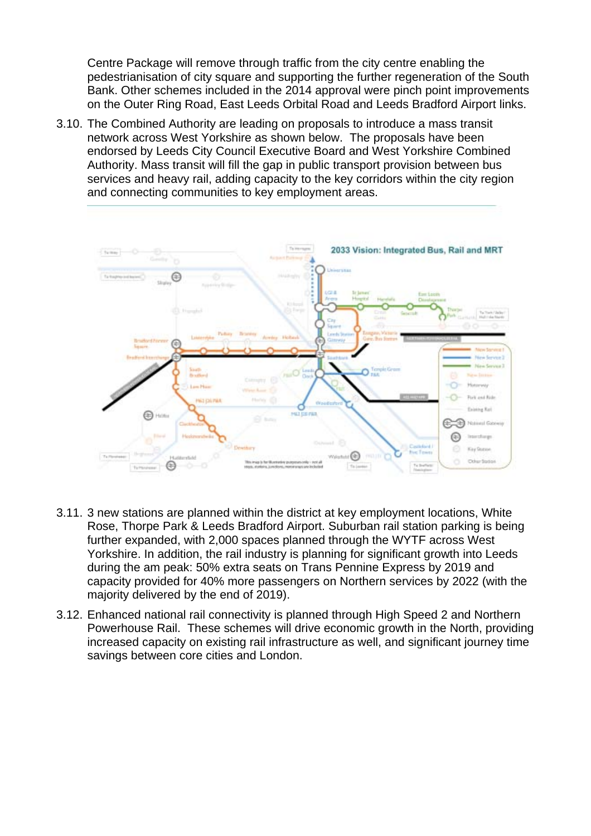Centre Package will remove through traffic from the city centre enabling the pedestrianisation of city square and supporting the further regeneration of the South Bank. Other schemes included in the 2014 approval were pinch point improvements on the Outer Ring Road, East Leeds Orbital Road and Leeds Bradford Airport links.

3.10. The Combined Authority are leading on proposals to introduce a mass transit network across West Yorkshire as shown below. The proposals have been endorsed by Leeds City Council Executive Board and West Yorkshire Combined Authority. Mass transit will fill the gap in public transport provision between bus services and heavy rail, adding capacity to the key corridors within the city region and connecting communities to key employment areas.



- 3.11. 3 new stations are planned within the district at key employment locations, White Rose, Thorpe Park & Leeds Bradford Airport. Suburban rail station parking is being further expanded, with 2,000 spaces planned through the WYTF across West Yorkshire. In addition, the rail industry is planning for significant growth into Leeds during the am peak: 50% extra seats on Trans Pennine Express by 2019 and capacity provided for 40% more passengers on Northern services by 2022 (with the majority delivered by the end of 2019).
- 3.12. Enhanced national rail connectivity is planned through High Speed 2 and Northern Powerhouse Rail. These schemes will drive economic growth in the North, providing increased capacity on existing rail infrastructure as well, and significant journey time savings between core cities and London.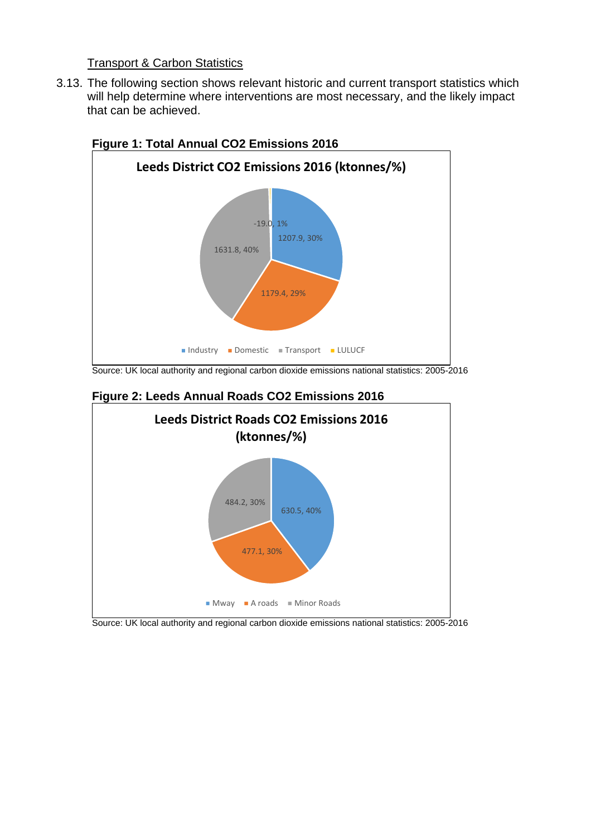## Transport & Carbon Statistics

3.13. The following section shows relevant historic and current transport statistics which will help determine where interventions are most necessary, and the likely impact that can be achieved.



# **Figure 1: Total Annual CO2 Emissions 2016**

Source: UK local authority and regional carbon dioxide emissions national statistics: 2005-2016



#### **Figure 2: Leeds Annual Roads CO2 Emissions 2016**

Source: UK local authority and regional carbon dioxide emissions national statistics: 2005-2016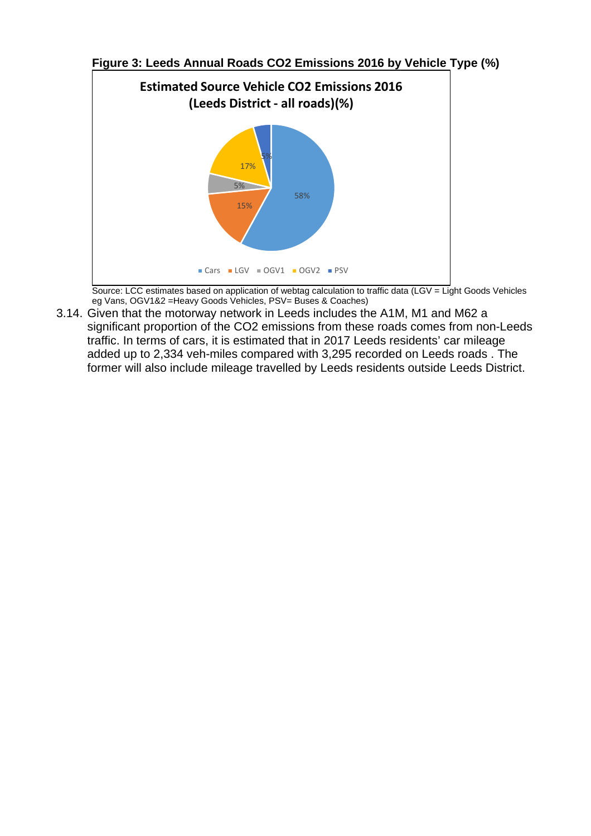

**Figure 3: Leeds Annual Roads CO2 Emissions 2016 by Vehicle Type (%)** 

Source: LCC estimates based on application of webtag calculation to traffic data (LGV = Light Goods Vehicles eg Vans, OGV1&2 =Heavy Goods Vehicles, PSV= Buses & Coaches)

3.14. Given that the motorway network in Leeds includes the A1M, M1 and M62 a significant proportion of the CO2 emissions from these roads comes from non-Leeds traffic. In terms of cars, it is estimated that in 2017 Leeds residents' car mileage added up to 2,334 veh-miles compared with 3,295 recorded on Leeds roads . The former will also include mileage travelled by Leeds residents outside Leeds District.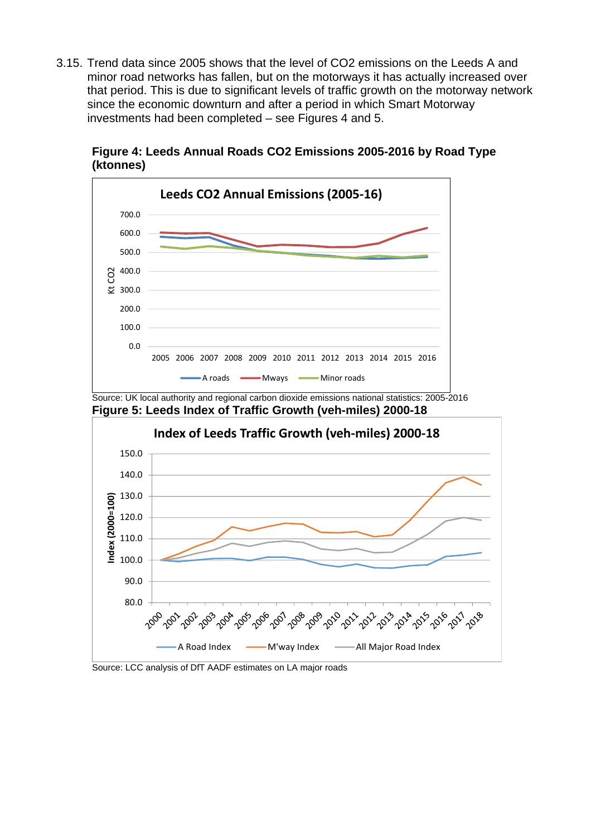3.15. Trend data since 2005 shows that the level of CO2 emissions on the Leeds A and minor road networks has fallen, but on the motorways it has actually increased over that period. This is due to significant levels of traffic growth on the motorway network since the economic downturn and after a period in which Smart Motorway investments had been completed – see Figures 4 and 5.





Source: LCC analysis of DfT AADF estimates on LA major roads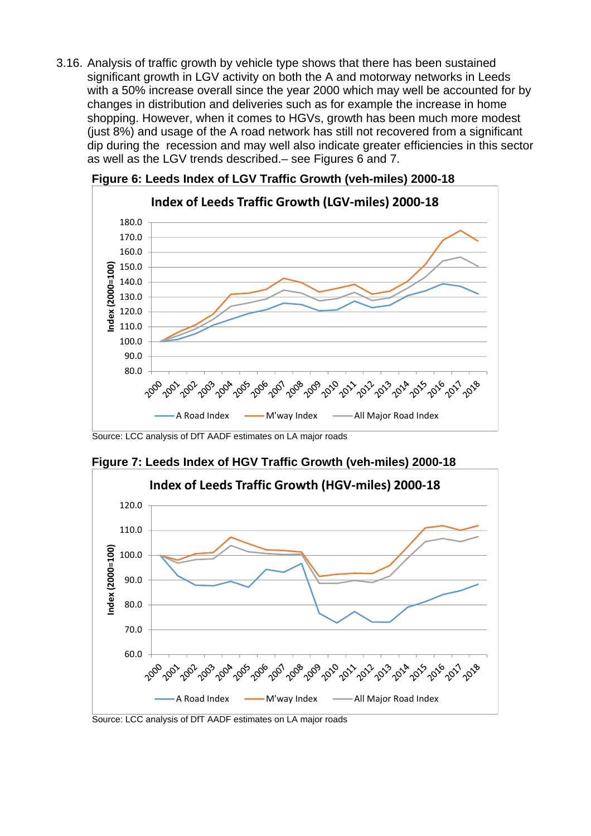3.16. Analysis of traffic growth by vehicle type shows that there has been sustained significant growth in LGV activity on both the A and motorway networks in Leeds with a 50% increase overall since the year 2000 which may well be accounted for by changes in distribution and deliveries such as for example the increase in home shopping. However, when it comes to HGVs, growth has been much more modest (just 8%) and usage of the A road network has still not recovered from a significant dip during the recession and may well also indicate greater efficiencies in this sector as well as the LGV trends described.– see Figures 6 and 7.



**Figure 6: Leeds Index of LGV Traffic Growth (veh-miles) 2000-18** 

Source: LCC analysis of DfT AADF estimates on LA major roads



**Figure 7: Leeds Index of HGV Traffic Growth (veh-miles) 2000-18** 

Source: LCC analysis of DfT AADF estimates on LA major roads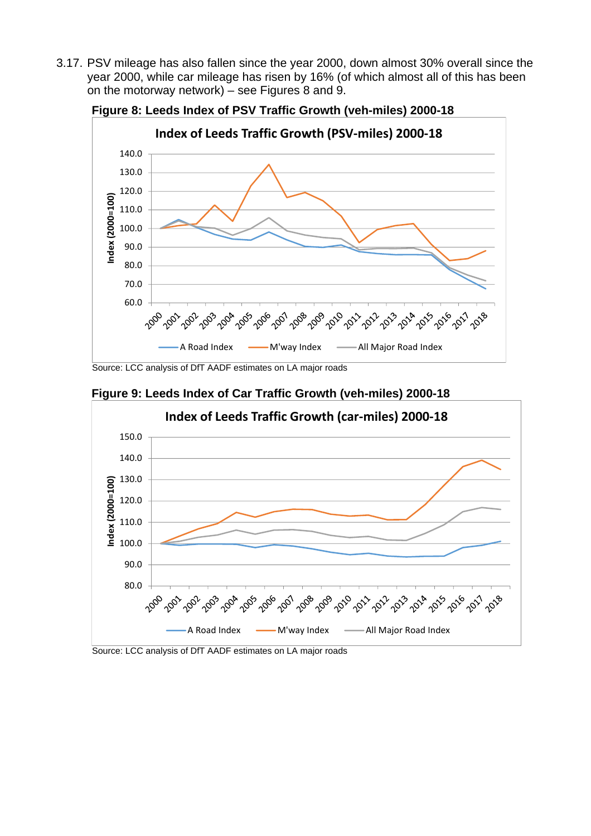3.17. PSV mileage has also fallen since the year 2000, down almost 30% overall since the year 2000, while car mileage has risen by 16% (of which almost all of this has been on the motorway network) – see Figures 8 and 9.



**Figure 8: Leeds Index of PSV Traffic Growth (veh-miles) 2000-18** 

Source: LCC analysis of DfT AADF estimates on LA major roads



**Figure 9: Leeds Index of Car Traffic Growth (veh-miles) 2000-18** 

Source: LCC analysis of DfT AADF estimates on LA major roads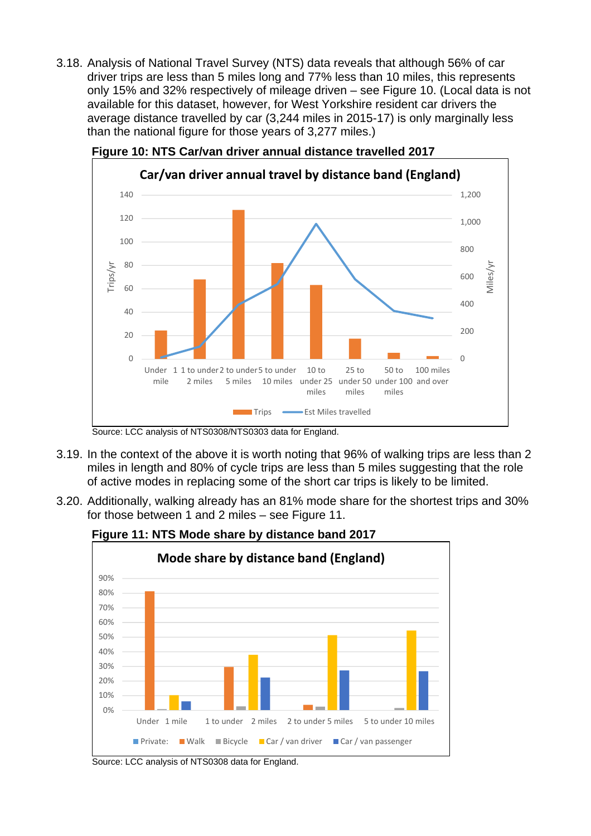3.18. Analysis of National Travel Survey (NTS) data reveals that although 56% of car driver trips are less than 5 miles long and 77% less than 10 miles, this represents only 15% and 32% respectively of mileage driven – see Figure 10. (Local data is not available for this dataset, however, for West Yorkshire resident car drivers the average distance travelled by car (3,244 miles in 2015-17) is only marginally less than the national figure for those years of 3,277 miles.)





- 3.19. In the context of the above it is worth noting that 96% of walking trips are less than 2 miles in length and 80% of cycle trips are less than 5 miles suggesting that the role of active modes in replacing some of the short car trips is likely to be limited.
- 3.20. Additionally, walking already has an 81% mode share for the shortest trips and 30% for those between 1 and 2 miles – see Figure 11.



# **Figure 11: NTS Mode share by distance band 2017**

Source: LCC analysis of NTS0308/NTS0303 data for England.

Source: LCC analysis of NTS0308 data for England.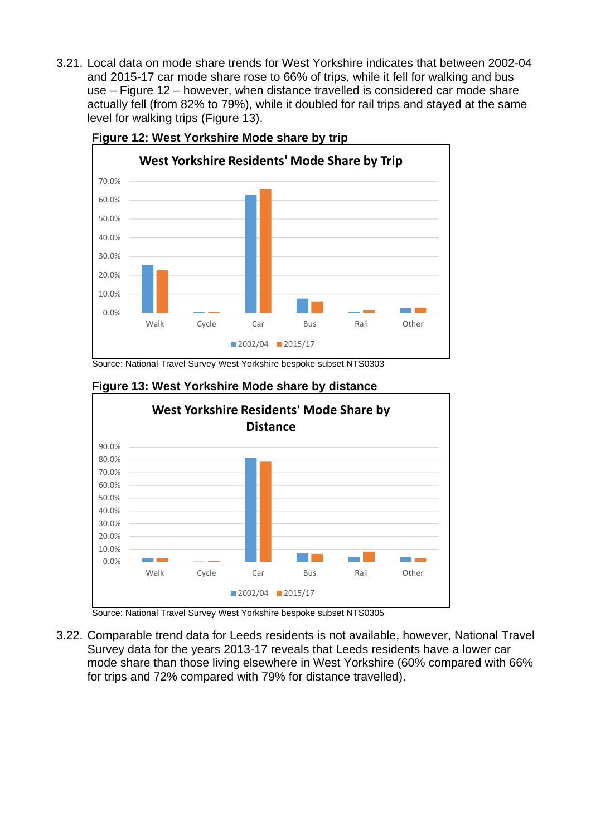3.21. Local data on mode share trends for West Yorkshire indicates that between 2002-04 and 2015-17 car mode share rose to 66% of trips, while it fell for walking and bus use – Figure 12 – however, when distance travelled is considered car mode share actually fell (from 82% to 79%), while it doubled for rail trips and stayed at the same level for walking trips (Figure 13).



**Figure 12: West Yorkshire Mode share by trip** 

Source: National Travel Survey West Yorkshire bespoke subset NTS0303



#### **Figure 13: West Yorkshire Mode share by distance**

Source: National Travel Survey West Yorkshire bespoke subset NTS0305

3.22. Comparable trend data for Leeds residents is not available, however, National Travel Survey data for the years 2013-17 reveals that Leeds residents have a lower car mode share than those living elsewhere in West Yorkshire (60% compared with 66% for trips and 72% compared with 79% for distance travelled).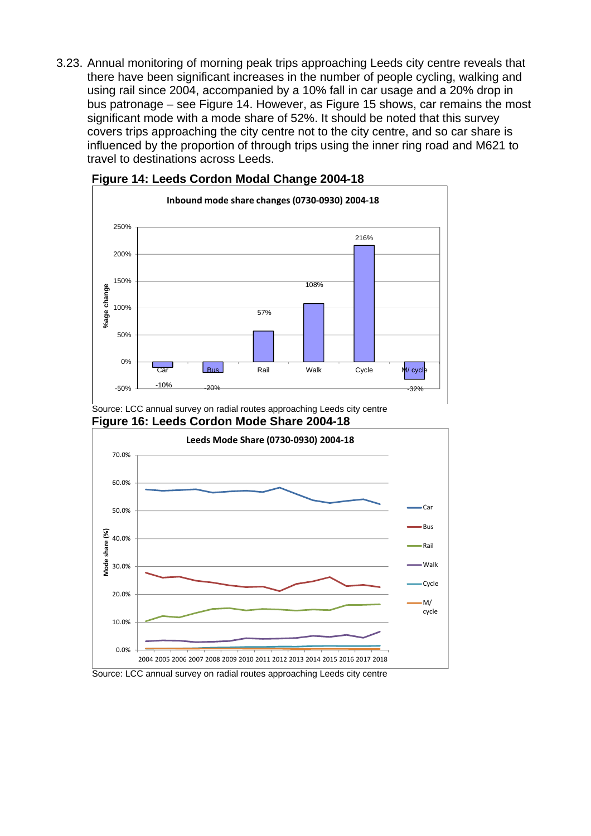3.23. Annual monitoring of morning peak trips approaching Leeds city centre reveals that there have been significant increases in the number of people cycling, walking and using rail since 2004, accompanied by a 10% fall in car usage and a 20% drop in bus patronage – see Figure 14. However, as Figure 15 shows, car remains the most significant mode with a mode share of 52%. It should be noted that this survey covers trips approaching the city centre not to the city centre, and so car share is influenced by the proportion of through trips using the inner ring road and M621 to travel to destinations across Leeds.



#### **Figure 14: Leeds Cordon Modal Change 2004-18**

Source: LCC annual survey on radial routes approaching Leeds city centre **Figure 16: Leeds Cordon Mode Share 2004-18** 



Source: LCC annual survey on radial routes approaching Leeds city centre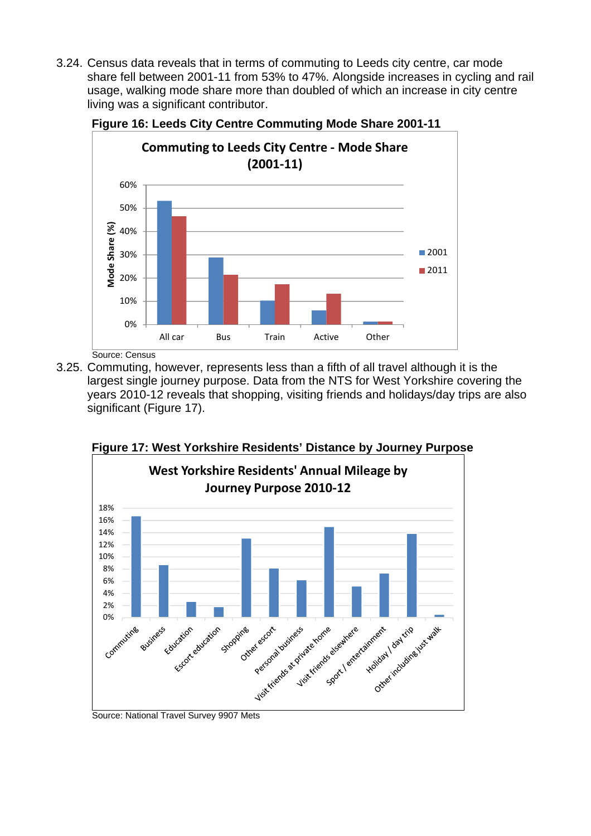3.24. Census data reveals that in terms of commuting to Leeds city centre, car mode share fell between 2001-11 from 53% to 47%. Alongside increases in cycling and rail usage, walking mode share more than doubled of which an increase in city centre living was a significant contributor.



**Figure 16: Leeds City Centre Commuting Mode Share 2001-11** 

Source: Census

3.25. Commuting, however, represents less than a fifth of all travel although it is the largest single journey purpose. Data from the NTS for West Yorkshire covering the years 2010-12 reveals that shopping, visiting friends and holidays/day trips are also significant (Figure 17).



**Figure 17: West Yorkshire Residents' Distance by Journey Purpose**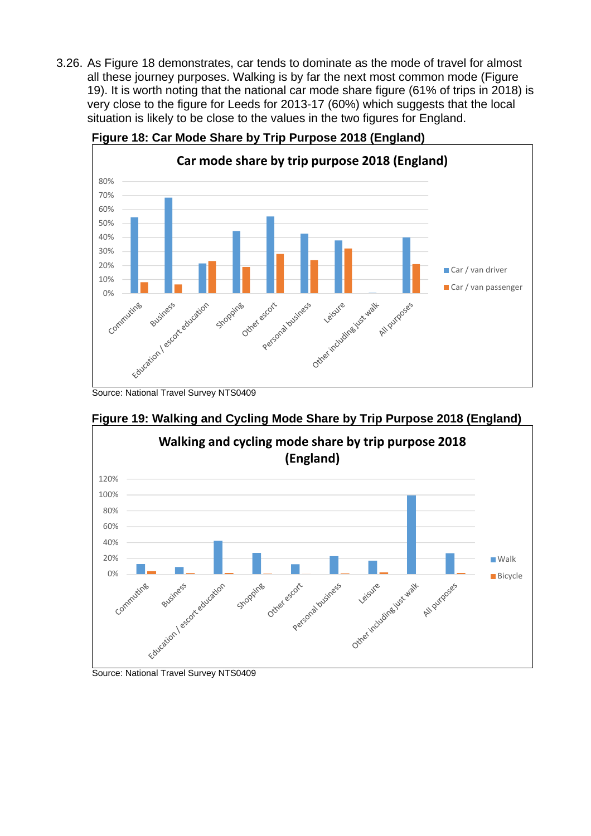3.26. As Figure 18 demonstrates, car tends to dominate as the mode of travel for almost all these journey purposes. Walking is by far the next most common mode (Figure 19). It is worth noting that the national car mode share figure (61% of trips in 2018) is very close to the figure for Leeds for 2013-17 (60%) which suggests that the local situation is likely to be close to the values in the two figures for England.



**Figure 18: Car Mode Share by Trip Purpose 2018 (England)** 



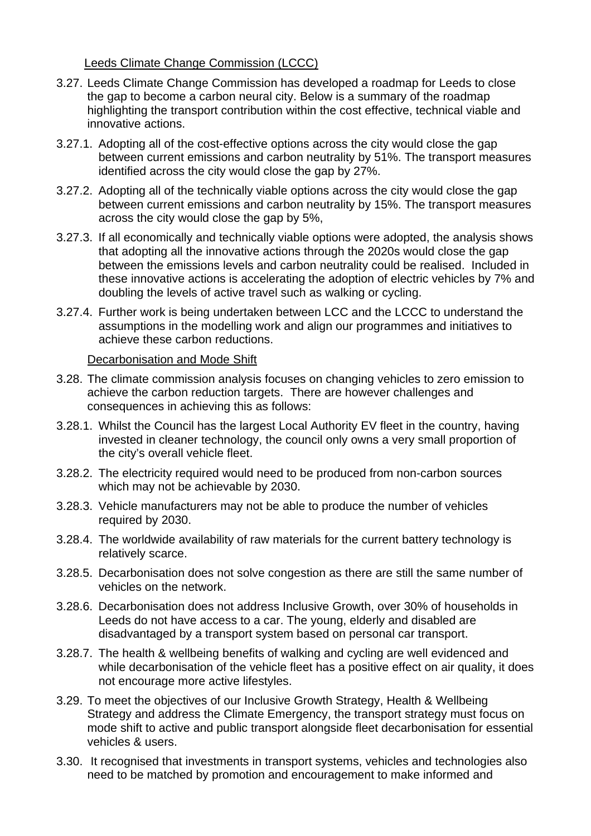# Leeds Climate Change Commission (LCCC)

- 3.27. Leeds Climate Change Commission has developed a roadmap for Leeds to close the gap to become a carbon neural city. Below is a summary of the roadmap highlighting the transport contribution within the cost effective, technical viable and innovative actions.
- 3.27.1. Adopting all of the cost-effective options across the city would close the gap between current emissions and carbon neutrality by 51%. The transport measures identified across the city would close the gap by 27%.
- 3.27.2. Adopting all of the technically viable options across the city would close the gap between current emissions and carbon neutrality by 15%. The transport measures across the city would close the gap by 5%,
- 3.27.3. If all economically and technically viable options were adopted, the analysis shows that adopting all the innovative actions through the 2020s would close the gap between the emissions levels and carbon neutrality could be realised. Included in these innovative actions is accelerating the adoption of electric vehicles by 7% and doubling the levels of active travel such as walking or cycling.
- 3.27.4. Further work is being undertaken between LCC and the LCCC to understand the assumptions in the modelling work and align our programmes and initiatives to achieve these carbon reductions.

#### Decarbonisation and Mode Shift

- 3.28. The climate commission analysis focuses on changing vehicles to zero emission to achieve the carbon reduction targets. There are however challenges and consequences in achieving this as follows:
- 3.28.1. Whilst the Council has the largest Local Authority EV fleet in the country, having invested in cleaner technology, the council only owns a very small proportion of the city's overall vehicle fleet.
- 3.28.2. The electricity required would need to be produced from non-carbon sources which may not be achievable by 2030.
- 3.28.3. Vehicle manufacturers may not be able to produce the number of vehicles required by 2030.
- 3.28.4. The worldwide availability of raw materials for the current battery technology is relatively scarce.
- 3.28.5. Decarbonisation does not solve congestion as there are still the same number of vehicles on the network.
- 3.28.6. Decarbonisation does not address Inclusive Growth, over 30% of households in Leeds do not have access to a car. The young, elderly and disabled are disadvantaged by a transport system based on personal car transport.
- 3.28.7. The health & wellbeing benefits of walking and cycling are well evidenced and while decarbonisation of the vehicle fleet has a positive effect on air quality, it does not encourage more active lifestyles.
- 3.29. To meet the objectives of our Inclusive Growth Strategy, Health & Wellbeing Strategy and address the Climate Emergency, the transport strategy must focus on mode shift to active and public transport alongside fleet decarbonisation for essential vehicles & users.
- 3.30. It recognised that investments in transport systems, vehicles and technologies also need to be matched by promotion and encouragement to make informed and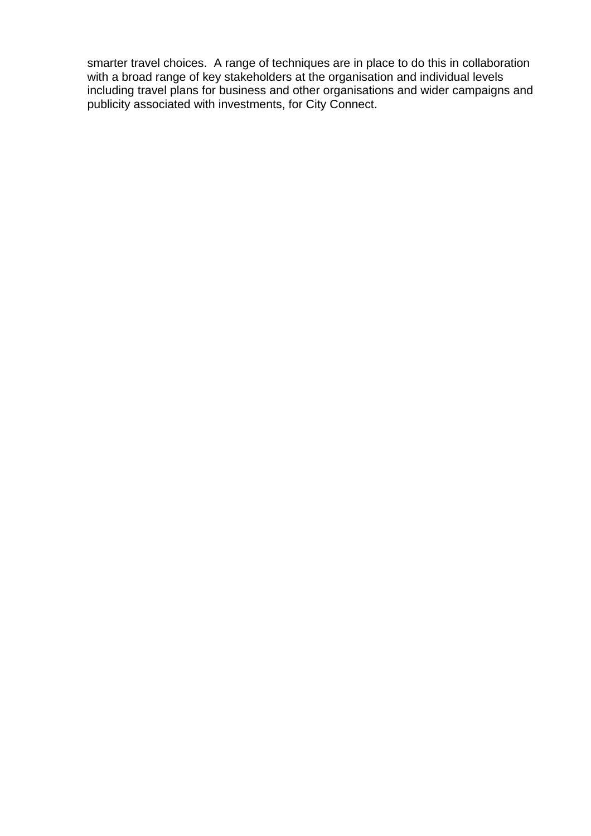smarter travel choices. A range of techniques are in place to do this in collaboration with a broad range of key stakeholders at the organisation and individual levels including travel plans for business and other organisations and wider campaigns and publicity associated with investments, for City Connect.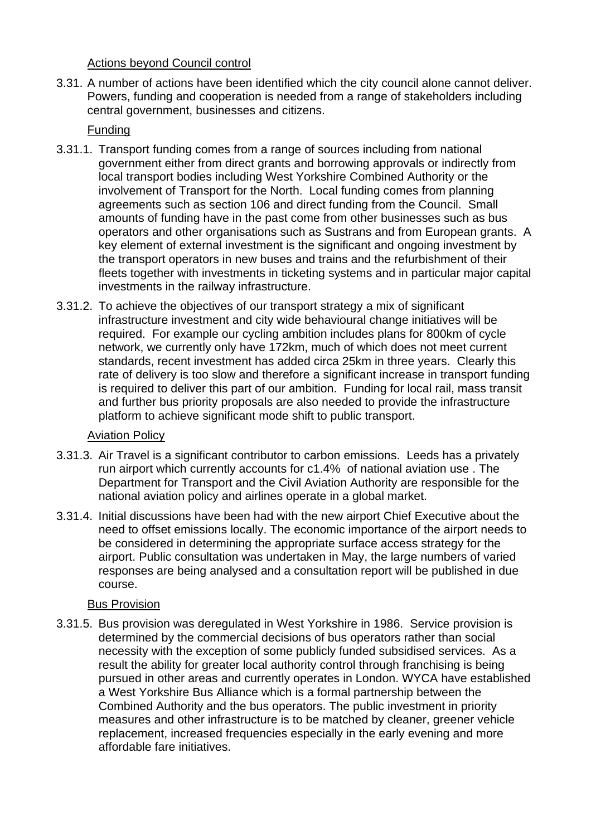Actions beyond Council control

3.31. A number of actions have been identified which the city council alone cannot deliver. Powers, funding and cooperation is needed from a range of stakeholders including central government, businesses and citizens.

# Funding

- 3.31.1. Transport funding comes from a range of sources including from national government either from direct grants and borrowing approvals or indirectly from local transport bodies including West Yorkshire Combined Authority or the involvement of Transport for the North. Local funding comes from planning agreements such as section 106 and direct funding from the Council. Small amounts of funding have in the past come from other businesses such as bus operators and other organisations such as Sustrans and from European grants. A key element of external investment is the significant and ongoing investment by the transport operators in new buses and trains and the refurbishment of their fleets together with investments in ticketing systems and in particular major capital investments in the railway infrastructure.
- 3.31.2. To achieve the objectives of our transport strategy a mix of significant infrastructure investment and city wide behavioural change initiatives will be required. For example our cycling ambition includes plans for 800km of cycle network, we currently only have 172km, much of which does not meet current standards, recent investment has added circa 25km in three years. Clearly this rate of delivery is too slow and therefore a significant increase in transport funding is required to deliver this part of our ambition. Funding for local rail, mass transit and further bus priority proposals are also needed to provide the infrastructure platform to achieve significant mode shift to public transport.

# Aviation Policy

- 3.31.3. Air Travel is a significant contributor to carbon emissions. Leeds has a privately run airport which currently accounts for c1.4% of national aviation use . The Department for Transport and the Civil Aviation Authority are responsible for the national aviation policy and airlines operate in a global market.
- 3.31.4. Initial discussions have been had with the new airport Chief Executive about the need to offset emissions locally. The economic importance of the airport needs to be considered in determining the appropriate surface access strategy for the airport. Public consultation was undertaken in May, the large numbers of varied responses are being analysed and a consultation report will be published in due course.

# Bus Provision

3.31.5. Bus provision was deregulated in West Yorkshire in 1986. Service provision is determined by the commercial decisions of bus operators rather than social necessity with the exception of some publicly funded subsidised services. As a result the ability for greater local authority control through franchising is being pursued in other areas and currently operates in London. WYCA have established a West Yorkshire Bus Alliance which is a formal partnership between the Combined Authority and the bus operators. The public investment in priority measures and other infrastructure is to be matched by cleaner, greener vehicle replacement, increased frequencies especially in the early evening and more affordable fare initiatives.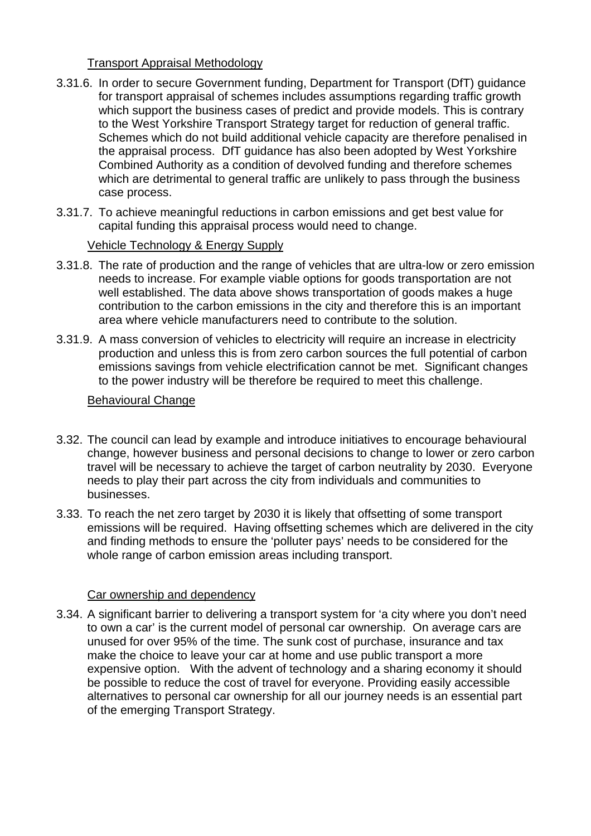## Transport Appraisal Methodology

- 3.31.6. In order to secure Government funding, Department for Transport (DfT) guidance for transport appraisal of schemes includes assumptions regarding traffic growth which support the business cases of predict and provide models. This is contrary to the West Yorkshire Transport Strategy target for reduction of general traffic. Schemes which do not build additional vehicle capacity are therefore penalised in the appraisal process. DfT guidance has also been adopted by West Yorkshire Combined Authority as a condition of devolved funding and therefore schemes which are detrimental to general traffic are unlikely to pass through the business case process.
- 3.31.7. To achieve meaningful reductions in carbon emissions and get best value for capital funding this appraisal process would need to change.

## Vehicle Technology & Energy Supply

- 3.31.8. The rate of production and the range of vehicles that are ultra-low or zero emission needs to increase. For example viable options for goods transportation are not well established. The data above shows transportation of goods makes a huge contribution to the carbon emissions in the city and therefore this is an important area where vehicle manufacturers need to contribute to the solution.
- 3.31.9. A mass conversion of vehicles to electricity will require an increase in electricity production and unless this is from zero carbon sources the full potential of carbon emissions savings from vehicle electrification cannot be met. Significant changes to the power industry will be therefore be required to meet this challenge.

#### Behavioural Change

- 3.32. The council can lead by example and introduce initiatives to encourage behavioural change, however business and personal decisions to change to lower or zero carbon travel will be necessary to achieve the target of carbon neutrality by 2030. Everyone needs to play their part across the city from individuals and communities to businesses.
- 3.33. To reach the net zero target by 2030 it is likely that offsetting of some transport emissions will be required. Having offsetting schemes which are delivered in the city and finding methods to ensure the 'polluter pays' needs to be considered for the whole range of carbon emission areas including transport.

#### Car ownership and dependency

3.34. A significant barrier to delivering a transport system for 'a city where you don't need to own a car' is the current model of personal car ownership. On average cars are unused for over 95% of the time. The sunk cost of purchase, insurance and tax make the choice to leave your car at home and use public transport a more expensive option. With the advent of technology and a sharing economy it should be possible to reduce the cost of travel for everyone. Providing easily accessible alternatives to personal car ownership for all our journey needs is an essential part of the emerging Transport Strategy.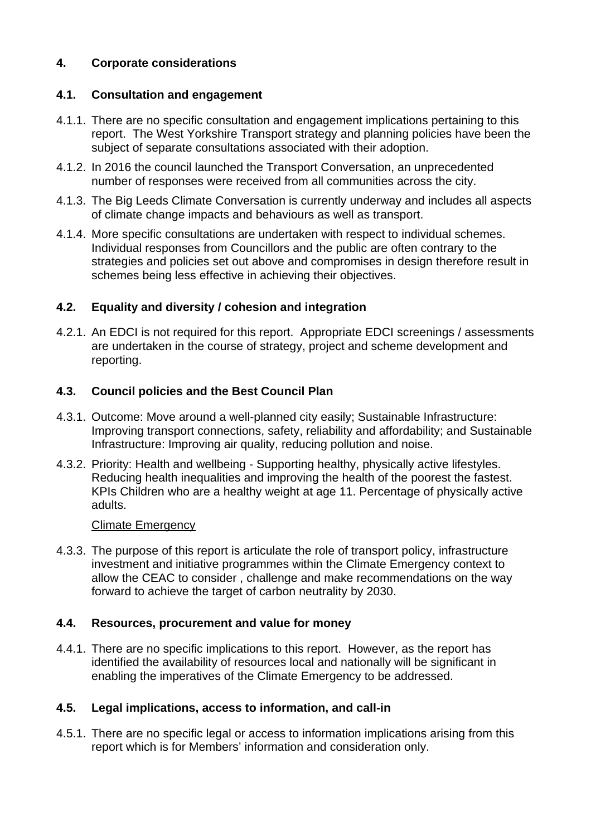# **4. Corporate considerations**

## **4.1. Consultation and engagement**

- 4.1.1. There are no specific consultation and engagement implications pertaining to this report. The West Yorkshire Transport strategy and planning policies have been the subject of separate consultations associated with their adoption.
- 4.1.2. In 2016 the council launched the Transport Conversation, an unprecedented number of responses were received from all communities across the city.
- 4.1.3. The Big Leeds Climate Conversation is currently underway and includes all aspects of climate change impacts and behaviours as well as transport.
- 4.1.4. More specific consultations are undertaken with respect to individual schemes. Individual responses from Councillors and the public are often contrary to the strategies and policies set out above and compromises in design therefore result in schemes being less effective in achieving their objectives.

# **4.2. Equality and diversity / cohesion and integration**

4.2.1. An EDCI is not required for this report. Appropriate EDCI screenings / assessments are undertaken in the course of strategy, project and scheme development and reporting.

# **4.3. Council policies and the Best Council Plan**

- 4.3.1. Outcome: Move around a well-planned city easily; Sustainable Infrastructure: Improving transport connections, safety, reliability and affordability; and Sustainable Infrastructure: Improving air quality, reducing pollution and noise.
- 4.3.2. Priority: Health and wellbeing Supporting healthy, physically active lifestyles. Reducing health inequalities and improving the health of the poorest the fastest. KPIs Children who are a healthy weight at age 11. Percentage of physically active adults.

#### Climate Emergency

4.3.3. The purpose of this report is articulate the role of transport policy, infrastructure investment and initiative programmes within the Climate Emergency context to allow the CEAC to consider , challenge and make recommendations on the way forward to achieve the target of carbon neutrality by 2030.

#### **4.4. Resources, procurement and value for money**

4.4.1. There are no specific implications to this report. However, as the report has identified the availability of resources local and nationally will be significant in enabling the imperatives of the Climate Emergency to be addressed.

# **4.5. Legal implications, access to information, and call-in**

4.5.1. There are no specific legal or access to information implications arising from this report which is for Members' information and consideration only.